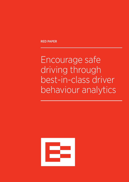RED PAPER

Encourage safe driving through best-in-class driver behaviour analytics

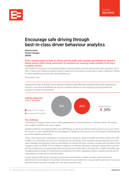

# Encourage safe driving through best-in-class driver behaviour analytics

Rebecca Kemp Product Manager EROAD

# Every company wants to keep its drivers and the public safe, manage and maintain its Operator Rating System (ORS) rating, and protect its reputation by ensuring a high standard of driving in company vehicles.

The question is how does a committed and safety-minded company promote safe driving? Does consistent use of best-in-class driver behaviour analytics based on data from an accurate on-board device make a difference, helping to reduce speeding and other poor driving behaviours?

The answer is yes.

Organisations that use EROAD's driver behaviour analytics have 38% fewer speeding events than organisations that don't view them at all.EROAD has found a consistent attention to and monitoring of driving behaviour analytics is the key to improvement.



# The challenge

The Ministry of Transport reports that in 2014, speeding was a contributing factor in 78 fatal crashes, 357 serious injury crashes and 995 minor injury crashes.

Speeding offences will negatively affect your ORS Rating, as well as any offence notice issued to you or your driver as a result of a crash. Speeding falls into the category of dangerous driving and is one of the types of offending that carries the highest penalty score.

There is also potential for investigation or prosecution by regulators. Under the Health and Safety at Work Act 2015 (HSWA), this could affect not only your company but you personally. This is because company directors and some senior managers are required to exercise due diligence to ensure that their company complies with the duties of the company, under the HSWA. The due diligence obligation on directors and senior managers requires them to ensure that the company has: (a) appropriate resources and process to eliminate or minimise risk to health and safety; and (b) appropriate processes for reviewing and considering information regarding incidents, hazards and risks and for responding in a timely way to that information.

Further, reduced ORS ratings may lead to lost business and inability to obtain insurance, while operational downtime and costs related to the accident will directly hit your bottom line if you are self-insured. Even if you have good third-party insurance coverage, you may have an excess to pay.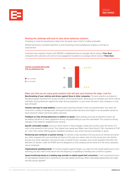

# Meeting the challenge with best-in-class driver behaviour analytics

Changing on-road driving behaviour takes time; the great news is that it is highly achievable.

EROAD has found a consistent attention to and monitoring of driving behaviour analytics is the key to improvement.

Customers who regularly interact with EROAD's Leaderboard have an average vehicle rating of Four Stars, compared with customers who did not; low engagement resulted in an average vehicle rating of Three Stars.



## Make sure that you are using great analytics that will give your business the edge. Look for:

Benchmarking of your vehicles and drivers against those in other companies. The best analytics are based on big data analyses resulting from access to billions of driving kilometres, allowing you to compare your driver, vehicle and fleets' driving behaviour against the wider driving population. Is your driver the best in your company, or truly best of breed?

Intuitive and easy-to-read analytics. Sophisticated reporting shouldn't mean incomprehensible. Your team will come from a variety of backgrounds, and reports should surface key facts and insights in an accessible manner to have maximum impact and boost safety outcomes.

Feedback on risky driving behaviours in addition to speed. Harsh braking and sharp acceleration events can be leading indicators of overly aggressive driving, alongside failing to scan the road ahead. This could be a strong indicator of the need for targetted driver training.

Specific actionable insights. Give your driver trainer or fleet manager a head start as they coach the drivers. It's much more powerful to tell a driver 'Your fastest over-speed was 116kph near Urban Route 3, Wiri, Auckland at 21:42 on 1 June' than merely offering generic feedback resulting in your driver having to remember or guess.

Monitoring sub-contractor or partner driving. To maintain a high standard of driving across all vehicles driving for you, often wrapped with your branding out there on the road, you need a view not only across your own drivers, but also any owner-operators carrying out work on behalf of your company. Such owner operators fall within the definition of 'worker' under the HSWA and the obligations on the company are the same as if the owner operators was an employee.

Organisational speeding trends. To monitor progress against targets, you need not only simple speed event count reporting, but also metrics that report how the frequency of speeding is trending over a month or quarter.

Speed monitoring based on a leading map provider to submit speed limit corrections. A well-maintained source of road segment speed limits is essential for accurate speed monitoring. When road speed adjustments are made, are they quickly applied?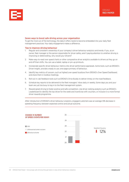

# Seven ways to boost safe driving across your organisation

To get the most out of the technology, the data it offers needs to become embedded into your daily fleet management practices: Your daily engagement makes a difference.

## Tips to improve driving behaviour

- 1. Regular and consistent viewership of your company's driver behaviour analytics and trends. If you, as an owner, fleet manager or the person responsible for driver safety, aren't paying attention to whether driving is improving or deteriorating, why would your drivers?
- 2. Make easy-to-read over speed charts or other comparative driver analytics available to drivers as they go on and off their shifts. You can use a tablet, laptop or pin-up printouts.
- 3. Incorporate specific driver behaviour metrics into driver performance appraisals. Some tools, such as EROAD's Driver Insight, provide a ready to use, one-page summary of behaviour.
- 4. Identify key metrics of concern, such as highest over speed locations from EROAD's Over Speed Dashboard, and share them in toolbox meetings.
- 5. Roll out in-cab feedback tools such as EROAD's Drive Buddy to deliver timely on-the-road feedback.
- 6. Schedule key reports to be delivered to the fleet managers' inbox daily or weekly. Some days you and your team are just too busy to log in to the fleet management system.
- 7. Reward great driving to foster positive and safe competition. Use driver ranking analytics such as EROAD's Leaderboard to identify the top driver for the week and incentivise with vouchers, or inclusion in a more formal driver rewards programme.

After introduction of EROAD's driver behaviour analytics, engaged customers saw an average 12% decrease in speeding frequency between expected control and actual outcome.

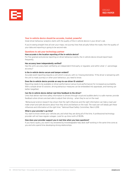

# Your in-vehicle device should be accurate, trusted, powerful

Great driver behaviour analytics starts with the quality of the in-vehicle device in your driver's cab.

If you're seeing straight lines all over your maps, not journey lines that actually follow the roads, then the quality of your data and reporting is going to be second-rate.

#### Questions to ask your technology partner

#### How accurate is the location reporting of the in-vehicle device?

For fine-grained and precise reporting on driver behaviour events, the in-vehicle device should report back frequently.

#### Has accuracy been independently verified?

Has the unit's accuracy been verified by an independent third party or regulator, and within what +/- percentage accuracy?

# Is the in-vehicle device secure and tamper evident?

Accurate event reporting requires a unit which is secure, with no 'missing kilometres.' If the driver is tampering with the unit to mask journeys or other poor behaviour, you need to know.

# Does the in-vehicle device provide an easy-to-use driver ID solution?

Reporting needs to be available on driver performance (versus truck performance) for increased accountability. With a simple driver ID solution, driving behaviour measures can be embedded into appraisals, and training can better-targetted.

#### Can the in-vehicle device deliver real-time feedback to the driver?

Units that deliver real-time safety information to drivers through visual and audible alerts in a safe manner, provide feedback when drivers are best able to adjust their driving – when they're out on the road.

*"Behavioural science research has shown that the right influences and the right information can help a road user make smart and safe decisions about how they drive and behave on the road. The road user will ideally get these*  influences and information at the right time." National Road Safety Committee, March 2016.

## What is your provider's up-time?

You want to know where your vehicles are, and what they are doing all of the time. A professional technology provider will not have regular outages. Look for up-time north of 99.9%.

## How does your provider support you in real time when you have questions?

If you have a query, you want it by answered by knowledgeable help desk staff working in the same time zone as you and who spend time developing strong relationships.